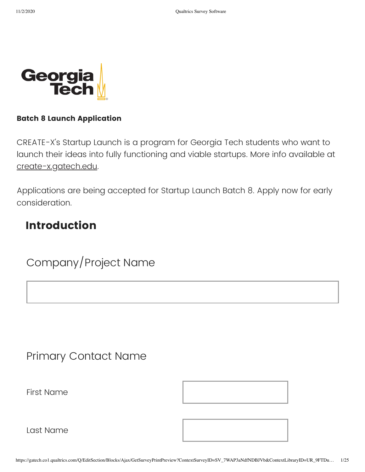

#### **Batch 8 Launch Application**

CREATE-X's Startup Launch is a program for Georgia Tech students who want to launch their ideas into fully functioning and viable startups. More info available at [create-x.gatech.edu](http://create-x.gatech.edu/startuplaunch).

Applications are being accepted for Startup Launch Batch 8. Apply now for early consideration.

#### **Introduction**

Company/Project Name

#### Primary Contact Name

First Name



Last Name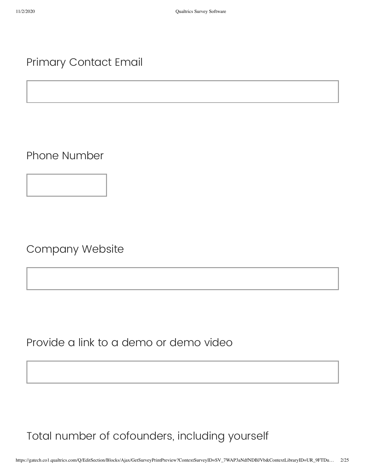#### Primary Contact Email

Phone Number

Company Website

Provide a link to a demo or demo video

Total number of cofounders, including yourself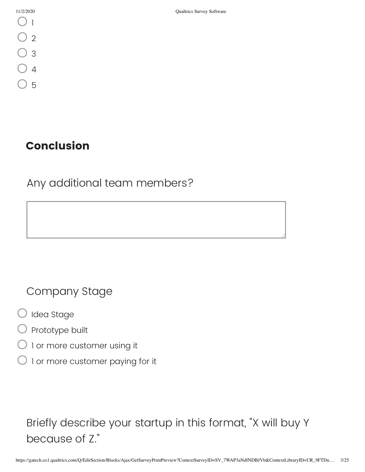| 11/2/2020 |  |    |  |  |
|-----------|--|----|--|--|
|           |  |    |  |  |
|           |  |    |  |  |
|           |  | þ. |  |  |
|           |  | ļ  |  |  |
|           |  |    |  |  |

#### **Conclusion**

Any additional team members?

Company Stage

- Idea Stage
- Prototype built
- 1 or more customer using it
- 1 or more customer paying for it

Briefly describe your startup in this format, "X will buy Y because of Z."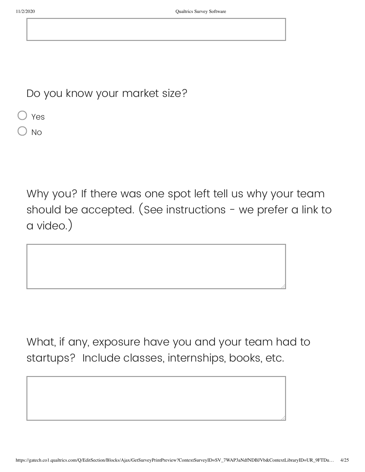Do you know your market size?

Yes

) No

Why you? If there was one spot left tell us why your team should be accepted. (See instructions - we prefer a link to a video.)

What, if any, exposure have you and your team had to startups? Include classes, internships, books, etc.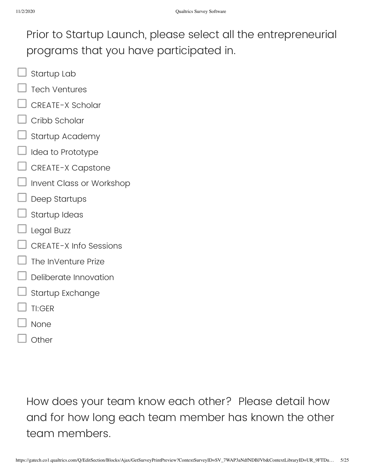Prior to Startup Launch, please select all the entrepreneurial programs that you have participated in.

- Startup Lab
- Tech Ventures
- CREATE-X Scholar
- Cribb Scholar
- Startup Academy
- Idea to Prototype
- CREATE-X Capstone
- Invent Class or Workshop
- Deep Startups
- Startup Ideas
- Legal Buzz
- CREATE-X Info Sessions
- The InVenture Prize
- Deliberate Innovation
- Startup Exchange
- TI:GER
- None
- **Other**

How does your team know each other? Please detail how and for how long each team member has known the other team members.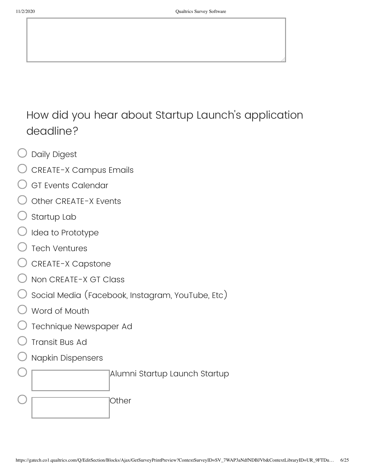## How did you hear about Startup Launch's application deadline?

- Daily Digest
- CREATE-X Campus Emails
- GT Events Calendar
- Other CREATE-X Events
- Startup Lab
- Idea to Prototype
- Tech Ventures
- CREATE-X Capstone
- Non CREATE-X GT Class
- Social Media (Facebook, Instagram, YouTube, Etc)
- Word of Mouth
- Technique Newspaper Ad
- Transit Bus Ad
- Napkin Dispensers

Alumni Startup Launch Startup **Other**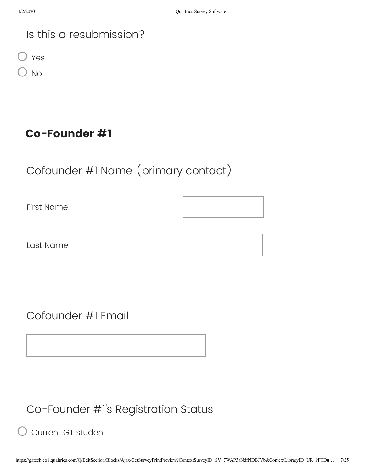#### Is this a resubmission?

Yes

No

#### **Co-Founder #1**

## Cofounder #1 Name (primary contact)

First Name

Last Name

#### Cofounder #1 Email

Co-Founder #1's Registration Status

Current GT student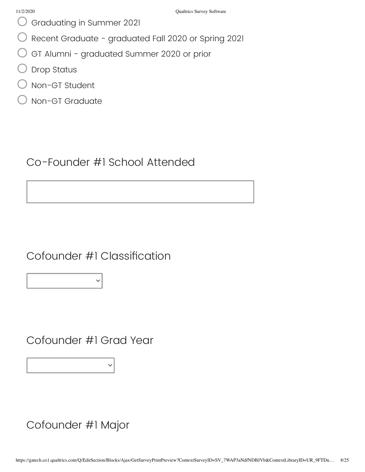- Graduating in Summer 2021
- Recent Graduate graduated Fall 2020 or Spring 2021
- GT Alumni graduated Summer 2020 or prior
- Drop Status
- Non-GT Student
- Non-GT Graduate

#### Co-Founder #1 School Attended

Cofounder #1 Classification

Cofounder #1 Grad Year

Cofounder #1 Major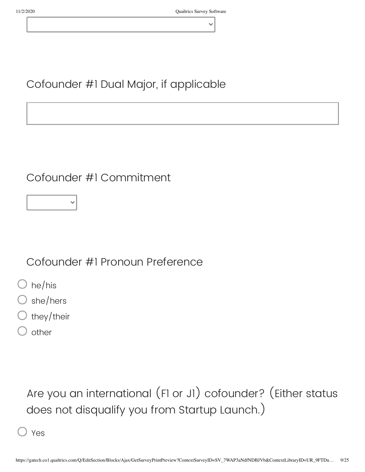### Cofounder #1 Dual Major, if applicable

### Cofounder #1 Commitment

Cofounder #1 Pronoun Preference

- $\bigcirc$  he/his
- she/hers
- they/their
- other

# Are you an international (F1 or J1) cofounder? (Either status does not disqualify you from Startup Launch.)

Yes